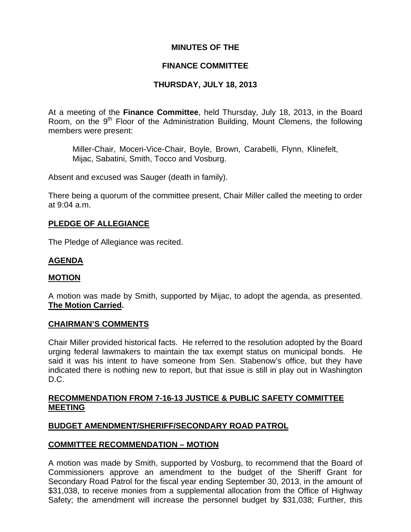# **MINUTES OF THE**

# **FINANCE COMMITTEE**

# **THURSDAY, JULY 18, 2013**

At a meeting of the **Finance Committee**, held Thursday, July 18, 2013, in the Board Room, on the  $9<sup>th</sup>$  Floor of the Administration Building, Mount Clemens, the following members were present:

Miller-Chair, Moceri-Vice-Chair, Boyle, Brown, Carabelli, Flynn, Klinefelt, Mijac, Sabatini, Smith, Tocco and Vosburg.

Absent and excused was Sauger (death in family).

There being a quorum of the committee present, Chair Miller called the meeting to order at 9:04 a.m.

# **PLEDGE OF ALLEGIANCE**

The Pledge of Allegiance was recited.

# **AGENDA**

#### **MOTION**

A motion was made by Smith, supported by Mijac, to adopt the agenda, as presented. **The Motion Carried.** 

## **CHAIRMAN'S COMMENTS**

Chair Miller provided historical facts. He referred to the resolution adopted by the Board urging federal lawmakers to maintain the tax exempt status on municipal bonds. He said it was his intent to have someone from Sen. Stabenow's office, but they have indicated there is nothing new to report, but that issue is still in play out in Washington D.C.

### **RECOMMENDATION FROM 7-16-13 JUSTICE & PUBLIC SAFETY COMMITTEE MEETING**

## **BUDGET AMENDMENT/SHERIFF/SECONDARY ROAD PATROL**

## **COMMITTEE RECOMMENDATION – MOTION**

A motion was made by Smith, supported by Vosburg, to recommend that the Board of Commissioners approve an amendment to the budget of the Sheriff Grant for Secondary Road Patrol for the fiscal year ending September 30, 2013, in the amount of \$31,038, to receive monies from a supplemental allocation from the Office of Highway Safety; the amendment will increase the personnel budget by \$31,038; Further, this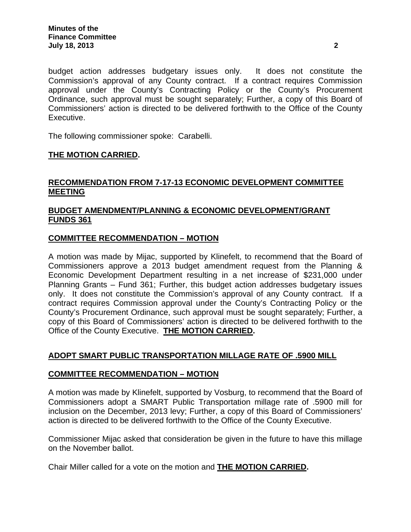budget action addresses budgetary issues only. It does not constitute the Commission's approval of any County contract. If a contract requires Commission approval under the County's Contracting Policy or the County's Procurement Ordinance, such approval must be sought separately; Further, a copy of this Board of Commissioners' action is directed to be delivered forthwith to the Office of the County Executive.

The following commissioner spoke: Carabelli.

### **THE MOTION CARRIED.**

# **RECOMMENDATION FROM 7-17-13 ECONOMIC DEVELOPMENT COMMITTEE MEETING**

# **BUDGET AMENDMENT/PLANNING & ECONOMIC DEVELOPMENT/GRANT FUNDS 361**

### **COMMITTEE RECOMMENDATION – MOTION**

A motion was made by Mijac, supported by Klinefelt, to recommend that the Board of Commissioners approve a 2013 budget amendment request from the Planning & Economic Development Department resulting in a net increase of \$231,000 under Planning Grants – Fund 361; Further, this budget action addresses budgetary issues only. It does not constitute the Commission's approval of any County contract. If a contract requires Commission approval under the County's Contracting Policy or the County's Procurement Ordinance, such approval must be sought separately; Further, a copy of this Board of Commissioners' action is directed to be delivered forthwith to the Office of the County Executive. **THE MOTION CARRIED.** 

## **ADOPT SMART PUBLIC TRANSPORTATION MILLAGE RATE OF .5900 MILL**

#### **COMMITTEE RECOMMENDATION – MOTION**

A motion was made by Klinefelt, supported by Vosburg, to recommend that the Board of Commissioners adopt a SMART Public Transportation millage rate of .5900 mill for inclusion on the December, 2013 levy; Further, a copy of this Board of Commissioners' action is directed to be delivered forthwith to the Office of the County Executive.

Commissioner Mijac asked that consideration be given in the future to have this millage on the November ballot.

Chair Miller called for a vote on the motion and **THE MOTION CARRIED.**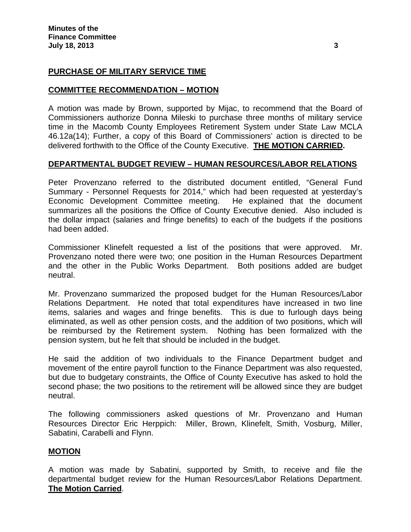## **PURCHASE OF MILITARY SERVICE TIME**

### **COMMITTEE RECOMMENDATION – MOTION**

A motion was made by Brown, supported by Mijac, to recommend that the Board of Commissioners authorize Donna Mileski to purchase three months of military service time in the Macomb County Employees Retirement System under State Law MCLA 46.12a(14); Further, a copy of this Board of Commissioners' action is directed to be delivered forthwith to the Office of the County Executive. **THE MOTION CARRIED.** 

### **DEPARTMENTAL BUDGET REVIEW – HUMAN RESOURCES/LABOR RELATIONS**

Peter Provenzano referred to the distributed document entitled, "General Fund Summary - Personnel Requests for 2014," which had been requested at yesterday's Economic Development Committee meeting. He explained that the document summarizes all the positions the Office of County Executive denied. Also included is the dollar impact (salaries and fringe benefits) to each of the budgets if the positions had been added.

Commissioner Klinefelt requested a list of the positions that were approved. Mr. Provenzano noted there were two; one position in the Human Resources Department and the other in the Public Works Department. Both positions added are budget neutral.

Mr. Provenzano summarized the proposed budget for the Human Resources/Labor Relations Department. He noted that total expenditures have increased in two line items, salaries and wages and fringe benefits. This is due to furlough days being eliminated, as well as other pension costs, and the addition of two positions, which will be reimbursed by the Retirement system. Nothing has been formalized with the pension system, but he felt that should be included in the budget.

He said the addition of two individuals to the Finance Department budget and movement of the entire payroll function to the Finance Department was also requested, but due to budgetary constraints, the Office of County Executive has asked to hold the second phase; the two positions to the retirement will be allowed since they are budget neutral.

The following commissioners asked questions of Mr. Provenzano and Human Resources Director Eric Herppich: Miller, Brown, Klinefelt, Smith, Vosburg, Miller, Sabatini, Carabelli and Flynn.

## **MOTION**

A motion was made by Sabatini, supported by Smith, to receive and file the departmental budget review for the Human Resources/Labor Relations Department. **The Motion Carried**.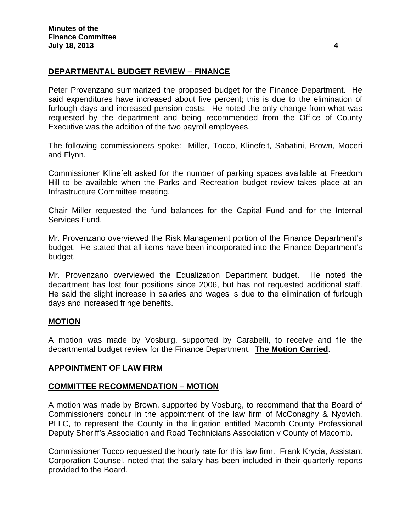# **DEPARTMENTAL BUDGET REVIEW – FINANCE**

Peter Provenzano summarized the proposed budget for the Finance Department. He said expenditures have increased about five percent; this is due to the elimination of furlough days and increased pension costs. He noted the only change from what was requested by the department and being recommended from the Office of County Executive was the addition of the two payroll employees.

The following commissioners spoke: Miller, Tocco, Klinefelt, Sabatini, Brown, Moceri and Flynn.

Commissioner Klinefelt asked for the number of parking spaces available at Freedom Hill to be available when the Parks and Recreation budget review takes place at an Infrastructure Committee meeting.

Chair Miller requested the fund balances for the Capital Fund and for the Internal Services Fund.

Mr. Provenzano overviewed the Risk Management portion of the Finance Department's budget. He stated that all items have been incorporated into the Finance Department's budget.

Mr. Provenzano overviewed the Equalization Department budget. He noted the department has lost four positions since 2006, but has not requested additional staff. He said the slight increase in salaries and wages is due to the elimination of furlough days and increased fringe benefits.

## **MOTION**

A motion was made by Vosburg, supported by Carabelli, to receive and file the departmental budget review for the Finance Department. **The Motion Carried**.

#### **APPOINTMENT OF LAW FIRM**

#### **COMMITTEE RECOMMENDATION – MOTION**

A motion was made by Brown, supported by Vosburg, to recommend that the Board of Commissioners concur in the appointment of the law firm of McConaghy & Nyovich, PLLC, to represent the County in the litigation entitled Macomb County Professional Deputy Sheriff's Association and Road Technicians Association v County of Macomb.

Commissioner Tocco requested the hourly rate for this law firm. Frank Krycia, Assistant Corporation Counsel, noted that the salary has been included in their quarterly reports provided to the Board.